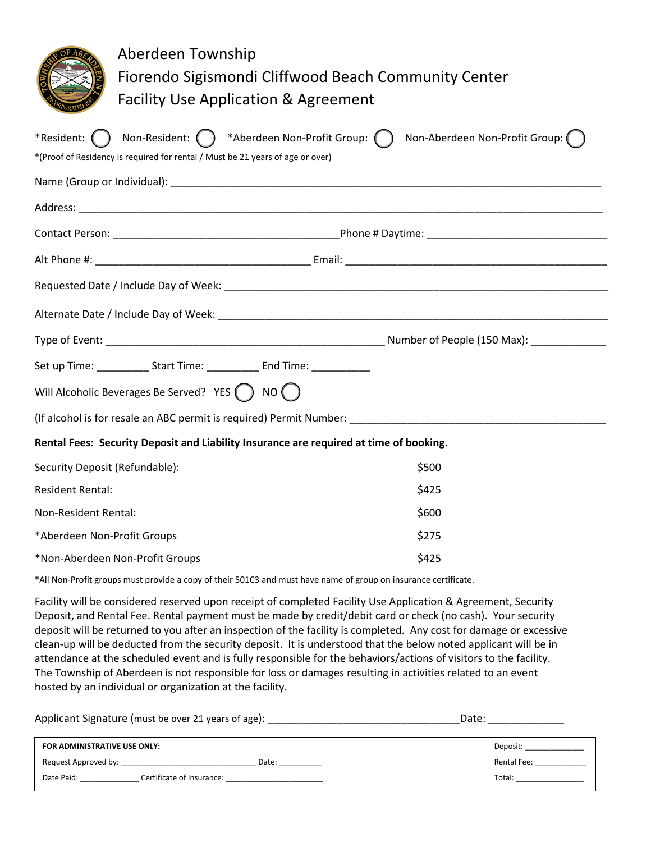|                                | Aberdeen Township<br>Fiorendo Sigismondi Cliffwood Beach Community Center<br><b>Facility Use Application &amp; Agreement</b>                    |  |                                |  |
|--------------------------------|-------------------------------------------------------------------------------------------------------------------------------------------------|--|--------------------------------|--|
| *Resident: $( )$               | Non-Resident: $\bigcap$ *Aberdeen Non-Profit Group: $\bigcap$<br>*(Proof of Residency is required for rental / Must be 21 years of age or over) |  | Non-Aberdeen Non-Profit Group: |  |
|                                |                                                                                                                                                 |  |                                |  |
|                                |                                                                                                                                                 |  |                                |  |
|                                |                                                                                                                                                 |  |                                |  |
|                                |                                                                                                                                                 |  |                                |  |
|                                |                                                                                                                                                 |  |                                |  |
|                                |                                                                                                                                                 |  |                                |  |
|                                |                                                                                                                                                 |  |                                |  |
|                                | Set up Time: ______________ Start Time: _____________ End Time: ________________                                                                |  |                                |  |
|                                | Will Alcoholic Beverages Be Served? YES ( ) NO ( )                                                                                              |  |                                |  |
|                                |                                                                                                                                                 |  |                                |  |
|                                | Rental Fees: Security Deposit and Liability Insurance are required at time of booking.                                                          |  |                                |  |
| Security Deposit (Refundable): |                                                                                                                                                 |  | \$500                          |  |
| <b>Resident Rental:</b>        |                                                                                                                                                 |  | \$425                          |  |
| Non-Resident Rental:           |                                                                                                                                                 |  | \$600                          |  |
| *Aberdeen Non-Profit Groups    |                                                                                                                                                 |  | \$275                          |  |
|                                | *Non-Aberdeen Non-Profit Groups                                                                                                                 |  | \$425                          |  |

\*All Non-Profit groups must provide a copy of their 501C3 and must have name of group on insurance certificate.

Facility will be considered reserved upon receipt of completed Facility Use Application & Agreement, Security Deposit, and Rental Fee. Rental payment must be made by credit/debit card or check (no cash). Your security deposit will be returned to you after an inspection of the facility is completed. Any cost for damage or excessive clean-up will be deducted from the security deposit. It is understood that the below noted applicant will be in attendance at the scheduled event and is fully responsible for the behaviors/actions of visitors to the facility. The Township of Aberdeen is not responsible for loss or damages resulting in activities related to an event hosted by an individual or organization at the facility.

|                              | Applicant Signature (must be over 21 years of age): National Manager and Contact Control of Applicant Control | Date:       |
|------------------------------|---------------------------------------------------------------------------------------------------------------|-------------|
| FOR ADMINISTRATIVE USE ONLY: |                                                                                                               | Deposit:    |
| Request Approved by:         | Date:                                                                                                         | Rental Fee: |
| Date Paid:                   | Certificate of Insurance: New York 1999                                                                       | Total:      |